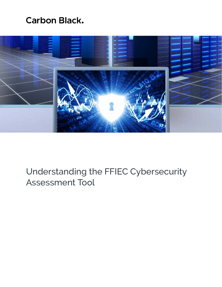# **Carbon Black.**



# Understanding the FFIEC Cybersecurity Assessment Tool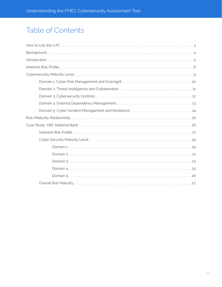# **Table of Contents**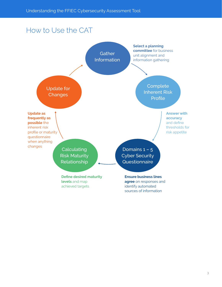## How to Use the CAT

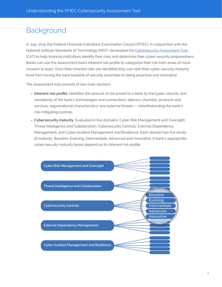## **Background**

In July, 2015 the Federal Financial Institutions Examination Council (FFIEC), in conjunction with the National Institute Standards of Technology (NIST), developed the [Cybersecurity Assessment Tool](https://www.ffiec.gov/cyberassessmenttool.htm) (CAT) to help financial institutions identify their risks and determine their cyber-security preparedness. Banks can use the assessment tool's inherent risk profile to categorize their risk from areas of most concern to least. Once their inherent risks are identified they can rank their cyber-security maturity level from having the bare baseline of security essentials to being proactive and innovative.

The assessment tool consists of two main sections:

- » **Inherent risk profile**: Identifies the amount of risk posed to a bank by the types, volume, and complexity of the bank's technologies and connections, delivery channels, products and services, organizational characteristics, and external threats — notwithstanding the bank's risk-mitigating controls.
- » **Cybersecurity maturity**: Evaluated in five domains: Cyber Risk Management and Oversight; Threat Intelligence and Collaboration; Cybersecurity Controls; External Dependency Management; and Cyber Incident Management and Resilience. Each domain has five levels of maturity: Baseline, Evolving, Intermediate, Advanced and Innovative. A bank's appropriate cyber-security maturity levels depend on its inherent risk profile.

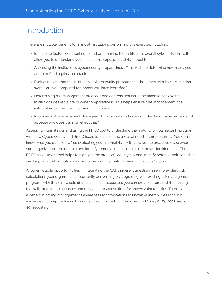## Introduction

There are multiple benefits to financial institutions performing this exercise, including:

- » Identifying factors contributing to and determining the institution's overall cyber risk. This will allow you to understand your institution's exposure and risk appetite.
- » Assessing the institution's cybersecurity preparedness. This will help determine how ready you are to defend against an attack.
- » Evaluating whether the institutions cybersecurity preparedness is aligned with its risks. In other words, are you prepared for threats you have identified?
- » Determining risk management practices and controls that could be taken to achieve the institutions desired state of cyber preparedness. This helps ensure that management has established procedures in case of an incident.
- » Informing risk management strategies. Do organizations know or understand management's risk appetite and does training reflect that?

Assessing internal risks and using the FFIEC tool to understand the maturity of your security program will allow Cybersecurity and Risk Officers to focus on the areas of need. In simple terms, "You don't know what you don't know," so evaluating your internal risks will allow you to proactively see where your organization is vulnerable and identify remediation steps to close those identified gaps. The FFIEC assessment tool helps to highlight the areas of security risk and identify potential solutions that can help financial institutions move up the maturity matrix toward "Innovative" status.

Another notable opportunity lies in integrating the CAT's inherent questionnaire into existing risk calculations your organization is currently performing. By upgrading your existing risk management programs with these new sets of questions and responses you can create automated risk rankings that will improve the accuracy and mitigation response time for known vulnerabilities. There is also a benefit in having management's awareness for attestations to known vulnerabilities for audit evidence and preparedness. This is also incorporated into Sarbanes and Oxley (SOX) 2002 section 404 reporting.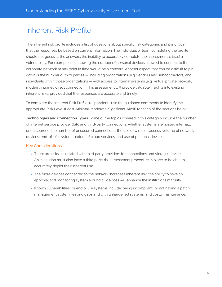## Inherent Risk Profile

The inherent risk profile includes a list of questions about specific risk categories and it is critical that the responses be based on current information. The individual or team completing the profile should not guess at the answers; the inability to accurately complete the assessment is itself a vulnerability. For example, not knowing the number of personal devices allowed to connect to the corporate network at any point in time would be a concern. Another aspect that can be difficult to pin down is the number of third parties — including organizations (e.g. vendors and subcontractors) and individuals within those organizations — with access to internal systems (e.g., virtual private network, modem, intranet, direct connection). This assessment will provide valuable insights into existing inherent risks, provided that the responses are accurate and timely.

To complete the Inherent Risk Profile, respondents use the guidance comments to identify the appropriate Risk Level (Least-Minimal-Moderate-Significant-Most) for each of the sections below.

**Technologies and Connection Types**: Some of the topics covered in this category include the number of Internet service provider (ISP) and third-party connections; whether systems are hosted internally or outsourced; the number of unsecured connections; the use of wireless access; volume of network devices; end-of-life systems; extent of cloud services; and use of personal devices.

#### Key Considerations:

- » There are risks associated with third party providers for connections and storage services. An institution must also have a third party risk assessment procedure in place to be able to accurately depict their inherent risk.
- » The more devices connected to the network increases inherent risk, the ability to have an approval and monitoring system around all devices will enhance the institutions maturity.
- » Known vulnerabilities for end of life systems include: being incompliant for not having a patch management system; leaving gaps and with unhardened systems; and costly maintenance.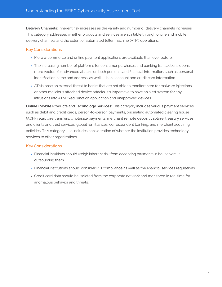**Delivery Channels**: Inherent risk increases as the variety and number of delivery channels increases. This category addresses whether products and services are available through online and mobile delivery channels and the extent of automated teller machine (ATM) operations.

#### Key Considerations:

- » More e-commerce and online payment applications are available than ever before.
- » The increasing number of platforms for consumer purchases and banking transactions opens more vectors for advanced attacks on both personal and financial information, such as personal identification name and address, as well as bank account and credit card information.
- » ATMs pose an external threat to banks that are not able to monitor them for malware injections or other malicious attached device attacks. It's imperative to have an alert system for any intrusions into ATM fixed function application and unapproved devices.

**Online/Mobile Products and Technology Services**: This category includes various payment services, such as debit and credit cards, person-to-person payments, originating automated clearing house (ACH), retail wire transfers, wholesale payments, merchant remote deposit capture, treasury services and clients and trust services, global remittances, correspondent banking, and merchant acquiring activities. This category also includes consideration of whether the institution provides technology services to other organizations.

#### Key Considerations:

- » Financial intuitions should weigh inherent risk from accepting payments in house versus outsourcing them.
- » Financial institutions should consider PCI compliance as well as the financial services regulations.
- » Credit card data should be isolated from the corporate network and monitored in real time for anomalous behavior and threats.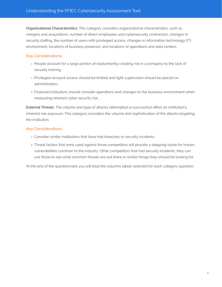**Organizational Characteristics**: This category considers organizational characteristics, such as mergers and acquisitions, number of direct employees and cybersecurity contractors, changes in security staffing, the number of users with privileged access, changes in information technology (IT) environment, locations of business presence, and locations of operations and data centers.

#### Key Considerations:

- » People account for a large portion of inadvertently creating risk in a company by the lack of security training.
- » Privileged account access should be limited and tight supervision should be placed on administrators.
- » Financial institutions should consider operations and changes to the business environment when measuring inherent cyber security risk.

**External Threats**: The volume and type of attacks (attempted or successful) affect an institution's inherent risk exposure. This category considers the volume and sophistication of the attacks targeting the institution.

### Key Considerations:

- » Consider similar institutions that have had breaches or security incidents.
- » Threat factors that were used against those competitors will provide a stepping-stone for known vulnerabilities common to the industry. Other competitors that had security incidents, they can use those to see what common threats are out there or similar things they should be looking for.

At the end of the questionnaire you will total the columns labels selected for each category question.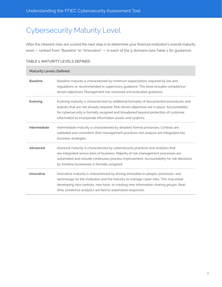# Cybersecurity Maturity Level

After the inherent risks are scored the next step is to determine your financial institution's overall maturity level — ranked from "Baseline" to "Innovative" — in each of the 5 domains (see Table 1 for guidance).

| <b>Maturity Levels Defined</b> |                                                                                                                                                                                                                                                                                                                                            |
|--------------------------------|--------------------------------------------------------------------------------------------------------------------------------------------------------------------------------------------------------------------------------------------------------------------------------------------------------------------------------------------|
| <b>Baseline</b>                | Baseline maturity is characterized by minimum expectations required by law and<br>regulations or recommended in supervisory guidance. This level includes compliance-<br>driven objectives. Management has reviewed and evaluated guidance.                                                                                                |
| Evolving                       | Evolving maturity is characterized by additional formality of documented procedures and<br>policies that are not already required. Risk-driven objectives are in place. Accountability<br>for cybersecurity is formally assigned and broadened beyond protection of customer<br>information to incorporate information assets and systems. |
| Intermediate                   | Intermediate maturity is characterized by detailed, formal processes. Controls are<br>validated and consistent. Risk-management practices and analysis are integrated into<br>business strategies.                                                                                                                                         |
| Advanced                       | dvanced maturity is characterized by cybersecurity practices and analytics that<br>are integrated across lines of business. Majority of risk-management processes are<br>automated and include continuous process improvement. Accountability for risk decisions<br>by frontline businesses is formally assigned.                          |
| Innovative                     | Innovative maturity is characterized by driving innovation in people, processes, and<br>technology for the institution and the industry to manage cyber risks. This may entail<br>developing new controls, new tools, or creating new information-sharing groups. Real-<br>time, predictive analytics are tied to automated responses.     |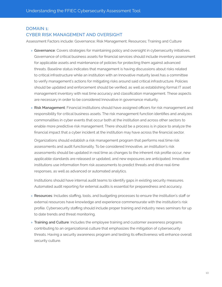## DOMAIN 1: CYBER RISK MANAGEMENT AND OVERSIGHT

Assessment Factors include: Governance; Risk Management; Resources; Training and Culture

- » **Governance**: Covers strategies for maintaining policy and oversight in cybersecurity initiatives. Governance of critical business assets for financial services should include inventory assessment for applicable assets and maintenance of policies for protecting them against advanced threats. Baseline status indicates that management is having discussions about risks related to critical infrastructure while an institution with an Innovative maturity level has a committee to verify management's actions for mitigating risks around said critical infrastructure. Policies should be updated and enforcement should be verified, as well as establishing formal IT asset management inventory with real time accuracy and classification management. These aspects are necessary in order to be considered Innovative in governance maturity.
- » **Risk Management**: Financial institutions should have assigned officers for risk management and responsibility for critical business assets. The risk management function identifies and analyzes commonalities in cyber events that occur both at the institution and across other sectors to enable more predictive risk management. There should be a process is in place to analyze the financial impact that a cyber incident at the institution may have across the financial sector.

Organizations should establish a risk management program that performs real time risk assessments and audit functionality. To be considered Innovative, an institution's risk assessments should be updated in real time as changes to the inherent risk profile occur, new applicable standards are released or updated, and new exposures are anticipated. Innovative institutions use information from risk assessments to predict threats and drive real-time responses, as well as advanced or automated analytics.

Institutions should have internal audit teams to identify gaps in existing security measures. Automated audit reporting for external audits is essential for preparedness and accuracy.

- » **Resources**: Includes staffing, tools, and budgeting processes to ensure the institution's staff or external resources have knowledge and experience commensurate with the institution's risk profile. Cybersecurity staffing should include proper training and industry news seminars for up to date trends and threat monitoring.
- » **Training and Culture**: Includes the employee training and customer awareness programs contributing to an organizational culture that emphasizes the mitigation of cybersecurity threats. Having a security awareness program and testing its effectiveness will enhance overall security culture.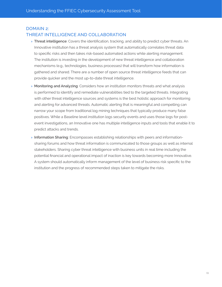## DOMAIN 2: THREAT INTELLIGENCE AND COLLABORATION

- » **Threat intelligence**: Covers the identification, tracking, and ability to predict cyber threats. An Innovative institution has a threat analysis system that automatically correlates threat data to specific risks and then takes risk-based automated actions while alerting management. The institution is investing in the development of new threat intelligence and collaboration mechanisms (e.g., technologies, business processes) that will transform how information is gathered and shared. There are a number of open source threat intelligence feeds that can provide quicker and the most up-to-date threat intelligence.
- » **Monitoring and Analyzing**: Considers how an institution monitors threats and what analysis is performed to identify and remediate vulnerabilities tied to the targeted threats. Integrating with other threat intelligence sources and systems is the best holistic approach for monitoring and alerting for advanced threats. Automatic alerting that is meaningful and compelling can narrow your scope from traditional log mining techniques that typically produce many false positives. While a Baseline level institution logs security events and uses those logs for postevent investigations, an Innovative one has multiple intelligence inputs and tools that enable it to predict attacks and trends.
- » **Information Sharing**: Encompasses establishing relationships with peers and informationsharing forums and how threat information is communicated to those groups as well as internal stakeholders. Sharing cyber threat intelligence with business units in real time including the potential financial and operational impact of inaction is key towards becoming more Innovative. A system should automatically inform management of the level of business risk specific to the institution and the progress of recommended steps taken to mitigate the risks.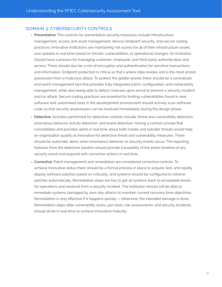#### DOMAIN 3: CYBERSECURITY CONTROLS

- » **Preventative**: The controls for preventative security measures include infrastructure management, access and asset management, device/endpoint security, and secure coding practices. Innovative institutions are maintaining risk scores for all of their infrastructure assets and updates in real time based on threats, vulnerabilities, or operational changes. An institution should have a process for managing customer, employee, and third-party authentication and access. There should also be a mix of encryption and authentication for sensitive transactions and information. Endpoint protection is critical as that's where data resides and is the most prized possession from a malicious attack. To protect the golden jewels there should be a centralized end-point management tool that provides fully integrated patch, configuration, and vulnerability management, while also being able to detect malware upon arrival to prevent a security incident and/or attack. Secure coding practices are essential for limiting vulnerabilities found in new software and, automated tools in the development environment should actively scan software code so that security weaknesses can be resolved immediately during the design phase.
- » **Detective**: Activities performed for detective controls include: threat and vulnerability detection, anomalous behavior activity detection, and event detection. Having a central console that consolidates and provides alerts in real time about both insider and outsider threats would help an organization qualify as Innovative for detective threat and vulnerability measures. There should be automatic alerts when anomalous behavior or security events occur. The reporting features from the detective solution should provide traceability of the entire timeline of any security event and respond with corrective actions in real time.
- » **Corrective**: Patch management and remediation are considered corrective controls. To achieve Innovative status there should be a formal process in place to acquire, test, and rapidly deploy software patches based on criticality, and systems should be configured to retrieve patches automatically. Remediation steps are key to get all systems back to acceptable levels for operations and resolved from a security incident. The institution should will be able to remediate systems damaged by zero-day attacks to maintain current recovery time objectives. Remediation is only effective if it happens quickly — otherwise, the intended damage is done. Remediation steps after vulnerability scans, pen tests, risk assessments, and security incidents, should all be in real-time to achieve Innovative maturity.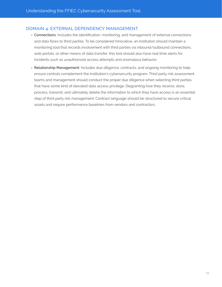#### DOMAIN 4: EXTERNAL DEPENDENCY MANAGEMENT

- » **Connections**: Includes the identification, monitoring, and management of external connections and data flows to third parties. To be considered Innovative, an institution should maintain a monitoring tool that records involvement with third parties via inbound/outbound connections, web portals, or other means of data transfer, this tool should also have real time alerts for incidents such as unauthorized access attempts and anomalous behavior.
- » **Relationship Management**: Includes due diligence, contracts, and ongoing monitoring to help ensure controls complement the institution's cybersecurity program. Third party risk assessment teams and management should conduct the proper due diligence when selecting third parties that have some kind of elevated data access privilege. Diagraming how they receive, store, process, transmit, and ultimately delete the information to which they have access is an essential step of third party risk management. Contract language should be structured to secure critical assets and require performance baselines from vendors and contractors.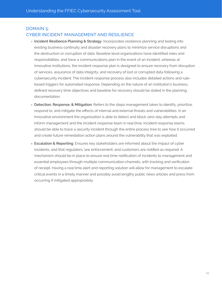## DOMAIN 5: CYBER INCIDENT MANAGEMENT AND RESILIENCE

- » **Incident Resilience Planning & Strategy**: Incorporates resilience planning and testing into existing business continuity and disaster recovery plans to minimize service disruptions and the destruction or corruption of data. Baseline level organizations have identified roles and responsibilities, and have a communications plan in the event of an incident, whereas at Innovative institutions, the incident response plan is designed to ensure recovery from disruption of services, assurance of data integrity, and recovery of lost or corrupted data following a cybersecurity incident. The incident response process also includes detailed actions and rulebased triggers for automated response. Depending on the nature of an institution's business, defined recovery time objectives and baseline for recovery should be stated in the planning documentation.
- » **Detection, Response, & Mitigation**: Refers to the steps management takes to identify, prioritize, respond to, and mitigate the effects of internal and external threats and vulnerabilities. In an Innovative environment the organization is able to detect and block zero-day attempts and inform management and the incident response team in real time. Incident response teams should be able to trace a security incident through the entire process tree to see how it occurred and create future remediation action plans around the vulnerability that was exploited.
- » **Escalation & Reporting**: Ensures key stakeholders are informed about the impact of cyber incidents, and that regulators, law enforcement, and customers are notified as required. A mechanism should be in place to ensure real time notification of incidents to management and essential employees through multiple communication channels, with tracking and verification of receipt. Having a real time alert and reporting solution will allow for management to escalate critical events in a timely manner and possibly avoid lengthy public news articles and press from occurring if mitigated appropriately.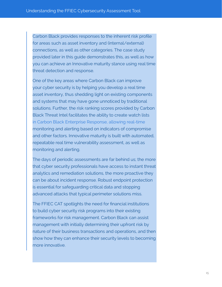Carbon Black provides responses to the inherent risk profile for areas such as asset inventory and (internal/external) connections, as well as other categories. The case study provided later in this guide demonstrates this, as well as how you can achieve an Innovative maturity stance using real time threat detection and response.

One of the key areas where Carbon Black can improve your cyber security is by helping you develop a real time asset inventory, thus shedding light on existing components and systems that may have gone unnoticed by traditional solutions. Further, the risk ranking scores provided by Carbon Black Threat Intel facilitates the ability to create watch lists in Carbon Black Enterprise Response, allowing real-time monitoring and alerting based on indicators of compromise and other factors. Innovative maturity is built with automated, repeatable real time vulnerability assessment, as well as monitoring and alerting.

The days of periodic assessments are far behind us; the more that cyber security professionals have access to instant threat analytics and remediation solutions, the more proactive they can be about incident response. Robust endpoint protection is essential for safeguarding critical data and stopping advanced attacks that typical perimeter solutions miss.

The FFIEC CAT spotlights the need for financial institutions to build cyber security risk programs into their existing frameworks for risk management. Carbon Black can assist management with initially determining their upfront risk by nature of their business transactions and operations, and then show how they can enhance their security levels to becoming more innovative.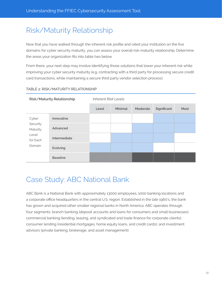# Risk/Maturity Relationship

Now that you have walked through the inherent risk profile and rated your institution on the five domains for cyber security maturity, you can assess your overall risk-maturity relationship. Determine the areas your organization fits into table two below.

From there, your next step may involve identifying those solutions that lower your inherent risk while improving your cyber security maturity (e.g. contracting with a third party for processing secure credit card transactions, while maintaining a secure third party vendor selection process).

### **Risk/Maturity Relationship** *Inherent Risk Levels* **Least Minimal Moderate Significant Most** Cyber **Security** Maturity Level for Each Domain **Innovative Advanced Intermediate Evolving Baseline**

#### TABLE 2: RISK/MATURITY RELATIONSHIP

# Case Study: ABC National Bank

ABC Bank is a National Bank with approximately 13000 employees, 1000 banking locations and a corporate office headquarters in the central U.S. region. Established in the late 1960's, the bank has grown and acquired other smaller regional banks in North America. ABC operates through four segments: branch banking (deposit accounts and loans for consumers and small businesses); commercial banking (lending, leasing, and syndicated and trade finance for corporate clients); consumer lending (residential mortgages, home equity loans, and credit cards); and investment advisors (private banking, brokerage, and asset management).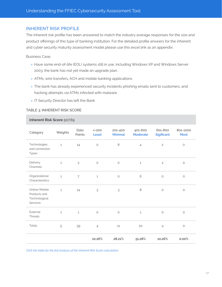#### INHERENT RISK PROFILE

The inherent risk profile has been answered to match the industry average responses for the size and product offerings of this type of banking institution. For the detailed profile answers for the inherent and cyber security maturity assessment model please use this excel link as an appendix:

Business Case:

- » Have some end-of-life (EOL) systems still in use, including Windows XP and Windows Server 2003, the bank has not yet made an upgrade plan.
- » ATMs, wire transfers, ACH and mobile banking applications
- » The bank has already experienced security incidents phishing emails sent to customers, and hacking attempts via ATMs infected with malware
- » IT Security Director has left the Bank

#### TABLE 3: INHERENT RISK SCORE

#### **[Inherent Risk Score](https://www.carbonblack.com/download/FFIEC_CAT_ABC_Bank_Inherent_Risk_Score.pdf)** 507.69

| Category                                                   | Weights      | Data<br>Points | $<=200$<br>Least | 201-400<br><b>Minimal</b> | 401-600<br>Moderate | 601-800<br><b>Sigificant</b> | 801-1000<br><b>Most</b> |
|------------------------------------------------------------|--------------|----------------|------------------|---------------------------|---------------------|------------------------------|-------------------------|
| Technologies<br>and connection<br>Types                    | $\mathbf{1}$ | 14             | $\bigcirc$       | $\,8\,$                   | $\overline{4}$      | $\overline{c}$               | $\bigcirc$              |
| Delivery<br>Channels                                       | $\mathbf{1}$ | 3              | $\circ$          | $\circ$                   | $\mathbf{1}$        | $\overline{c}$               | $\circlearrowright$     |
| Organizational<br>Characteristics                          | $\mathbf{1}$ | $\overline{7}$ | $\mathbf{1}$     | $\circ$                   | 6                   | $\circ$                      |                         |
| Online/Mobile<br>Products and<br>Technological<br>Services | $\mathbf{1}$ | 14             | 3                | 3                         | 8                   | $\circlearrowright$          | $\circ$                 |
| External<br>Threats                                        | $\mathbf{1}$ | $\mathbf{1}$   | $\circ$          | $\circ$                   | $\mathbf{1}$        | $\circlearrowright$          | $\circ$                 |
| <b>Totals</b>                                              | 5            | 39             | $\overline{4}$   | 11                        | 20                  | $\overline{4}$               | $\bigcirc$              |
|                                                            |              |                | 10.26%           | 28.21%                    | 51.28%              | 10.26%                       | 0.00%                   |

*Click the table for the full analysis of the Inherent Risk Score calculation*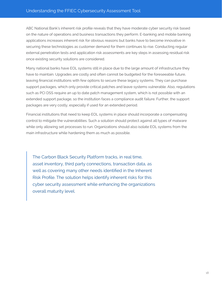ABC National Bank's inherent risk profile reveals that they have moderate cyber security risk based on the nature of operations and business transactions they perform. E-banking and mobile banking applications increases inherent risk for obvious reasons but banks have to become innovative in securing these technologies as customer demand for them continues to rise. Conducting regular external penetration tests and application risk assessments are key steps in assessing residual risk once existing security solutions are considered.

Many national banks have EOL systems still in place due to the large amount of infrastructure they have to maintain. Upgrades are costly and often cannot be budgeted for the foreseeable future, leaving financial institutions with few options to secure these legacy systems. They can purchase support packages, which only provide critical patches and leave systems vulnerable. Also, regulations such as PCI DSS require an up to date patch management system, which is not possible with an extended support package, so the institution faces a compliance audit failure. Further, the support packages are very costly, especially if used for an extended period.

Financial institutions that need to keep EOL systems in place should incorporate a compensating control to mitigate the vulnerabilities. Such a solution should protect against all types of malware while only allowing set processes to run. Organizations should also isolate EOL systems from the main infrastructure while hardening them as much as possible.

The Carbon Black Security Platform tracks, in real time, asset inventory, third party connections, transaction data, as well as covering many other needs identified in the Inherent Risk Profile. The solution helps identify inherent risks for this cyber security assessment while enhancing the organizations overall maturity level.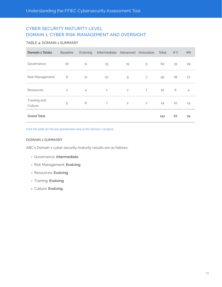## CYBER SECURITY MATURITY LEVEL DOMAIN 1: CYBER RISK MANAGEMENT AND OVERSIGHT

#### TABLE 4: DOMAIN 1 SUMMARY

| <b>Domain 1 Totals</b>  | <b>Baseline</b> | Evolving       | Intermediate Advanced Innovative |                |                | Total | #Y | #N             |
|-------------------------|-----------------|----------------|----------------------------------|----------------|----------------|-------|----|----------------|
| Governance              | 16              | 11             | 15                               | 15             | 5              | 62    | 33 | 29             |
| Risk Management         | 8               | 11             | 10                               | $\Theta$       | 7              | 45    | 18 | 27             |
| Resources               | $\mathbf{2}$    | $\overline{4}$ | $\mathbf{1}$                     | $\overline{c}$ | $\mathbf{1}$   | 10    | 6  | $\overline{4}$ |
| Training and<br>Culture | 5               | 8              | $\overline{7}$                   | $\overline{c}$ | $\overline{c}$ | 24    | 10 | 14             |
| <b>Grand Total</b>      |                 |                |                                  |                |                | 141   | 67 | 74             |

*Click the table for the full spreadsheet view of the Domain 1 analysis*

#### DOMAIN 1 SUMMARY

ABC's Domain 1 cyber security maturity results are as follows:

- » Governance: **Intermediate**
- » Risk Management: **Evolving**
- » Resources: **Evolving**
- » Training: **Evolving**
- » Culture: **Evolving**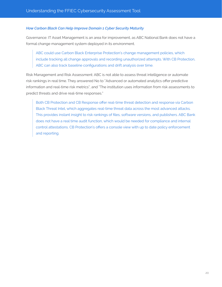#### *How Carbon Black Can Help Improve Domain 1 Cyber Security Maturity*

Governance: IT Asset Management is an area for improvement, as ABC National Bank does not have a formal change management system deployed in its environment.

ABC could use Carbon Black Enterprise Protection's change management policies, which include tracking all change approvals and recording unauthorized attempts. With CB Protection, ABC can also track baseline configurations and drift analysis over time.

Risk Management and Risk Assessment: ABC is not able to assess threat intelligence or automate risk rankings in real time. They answered No to "Advanced or automated analytics offer predictive information and real-time risk metrics", and "The institution uses information from risk assessments to predict threats and drive real-time responses."

Both CB Protection and CB Response offer real-time threat detection and response via Carbon Black Threat Intel, which aggregates real-time threat data across the most advanced attacks. This provides instant insight to risk rankings of files, software versions, and publishers. ABC Bank does not have a real time audit function, which would be needed for compliance and internal control attestations. CB Protection's offers a console view with up to date policy enforcement and reporting.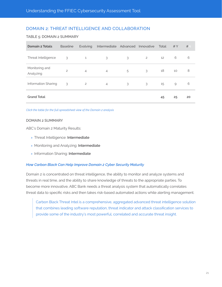## DOMAIN 2: THREAT INTELLIGENCE AND COLLABORATION

#### TABLE 5: DOMAIN 2 SUMMARY

| <b>Domain 2 Totals</b>      | <b>Baseline</b> | Evolving       | Intermediate Advanced |   | Innovative     | Total | #Y | #  |
|-----------------------------|-----------------|----------------|-----------------------|---|----------------|-------|----|----|
| Threat Intelligence         | 3               | $\mathbf{1}$   | 3                     | 3 | $\overline{c}$ | 12    | 6  | 6  |
| Monitoring and<br>Analyzing | $\mathbf{2}$    | $\overline{4}$ | $\overline{4}$        | 5 | 3              | 18    | 10 | 8  |
| Information Sharing         | 3               | $\overline{c}$ | $\overline{4}$        | 3 | 3              | 15    | 9  | 6  |
| <b>Grand Total</b>          |                 |                |                       |   |                | 45    | 25 | 20 |

*Click the table for the full spreadsheet view of the Domain 2 analysis*

#### DOMAIN 2 SUMMARY

ABC's Domain 2 Maturity Results:

- » Threat Intelligence: **Intermediate**
- » Monitoring and Analyzing: **Intermediate**
- » Information Sharing: **Intermediate**

#### *How Carbon Black Can Help Improve Domain 2 Cyber Security Maturity*

Domain 2 is concentrated on threat intelligence, the ability to monitor and analyze systems and threats in real time, and the ability to share knowledge of threats to the appropriate parties. To become more innovative, ABC Bank needs a threat analysis system that automatically correlates threat data to specific risks and then takes risk-based automated actions while alerting management.

Carbon Black Threat Intel is a comprehensive, aggregated advanced threat intelligence solution that combines leading software reputation, threat indicator and attack classification services to provide some of the industry's most powerful, correlated and accurate threat insight.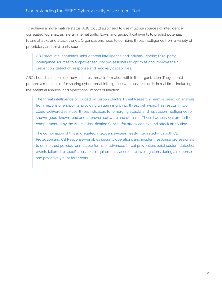To achieve a more mature status, ABC would also need to use multiple sources of intelligence, correlated log analysis, alerts, internal traffic flows, and geopolitical events to predict potential future attacks and attack trends. Organizations need to combine threat intelligence from a variety of proprietary and third-party sources.

CB Threat Intel combines unique threat intelligence and industry-leading third-party intelligence sources to empower security professionals to optimize and improve their prevention, detection, response and recovery capabilities.

ABC should also consider how it shares threat information within the organization. They should procure a mechanism for sharing cyber threat intelligence with business units in real time, including the potential financial and operational impact of inaction.

The threat intelligence produced by Carbon Black's Threat Research Team is based on analysis from millions of endpoints, providing unique insight into threat behaviors. This results in two cloud-delivered services: threat indicators for emerging attacks and reputation intelligence for known-good, known-bad and unproven software and domains. These two services are further complemented by the Attack Classification Service for attack context and attack attribution.

The combination of this aggregated intelligence—seamlessly integrated with both CB Protection and CB Response—enables security operations and incident response professionals to define trust policies for multiple forms of advanced threat prevention, build custom detection events tailored to specific business requirements, accelerate investigations during a response, and proactively hunt for threats.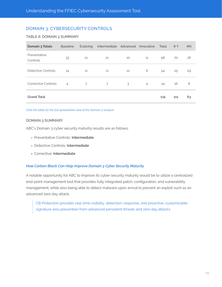## DOMAIN 3: CYBERSECURITY CONTROLS

#### TABLE 6: DOMAIN 3 SUMMARY

| Domain 3 Totals          | <b>Baseline</b> | Evolving | Intermediate   | Advanced | Innovative     | Total | #Y  | #N |
|--------------------------|-----------------|----------|----------------|----------|----------------|-------|-----|----|
| Preventative<br>Controls | 33              | 21       | 21             | 10       | 11             | 96    | 70  | 26 |
| Detective Controls       | 14              | 11       | 11             | 12       | 6              | 54    | 25  | 29 |
| Corrective Controls      | $\overline{4}$  | 7        | $\overline{7}$ | 3        | $\overline{4}$ | 24    | 16  | 8  |
| <b>Grand Total</b>       |                 |          |                |          |                | 174   | 111 | 63 |

*Click the table for the full spreadsheet view of the Domain 3 analysis*

#### DOMAIN 3 SUMMARY

ABC's Domain 3 cyber security maturity results are as follows:

- » Preventative Controls: **Intermediate**
- » Detective Controls: **Intermediate**
- » Corrective: **Intermediate**

#### *How Carbon Black Can Help Improve Domain 3 Cyber Security Maturity*

A notable opportunity for ABC to improve its cyber security maturity would be to utilize a centralized end-point management tool that provides fully integrated patch, configuration, and vulnerability management, while also being able to detect malware upon arrival to prevent an exploit such as an advanced zero day attack.

CB Protection provides real-time visibility, detection, response, and proactive, customizable signature-less prevention from advanced persistent threats and zero day attacks.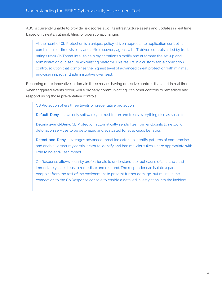ABC is currently unable to provide risk scores all of its infrastructure assets and updates in real time based on threats, vulnerabilities, or operational changes.

At the heart of Cb Protection is a unique, policy-driven approach to application control. It combines real-time visibility and a file discovery agent, with IT-driven controls aided by trust ratings from Cb Threat Intel, to help organizations simplify and automate the set-up and administration of a secure whitelisting platform. This results in a customizable application control solution that combines the highest level of advanced threat protection with minimal end-user impact and administrative overhead.

Becoming more innovative in domain three means having detective controls that alert in real time when triggered events occur, while properly communicating with other controls to remediate and respond using those preventative controls.

CB Protection offers three levels of preventative protection:

**Default-Deny**: allows only software you trust to run and treats everything else as suspicious.

**Detonate-and-Deny**: Cb Protection automatically sends files from endpoints to network detonation services to be detonated and evaluated for suspicious behavior.

**Detect-and-Deny**: Leverages advanced threat indicators to identify patterns of compromise and enables a security administrator to identify and ban malicious files where appropriate with little to no end-user impact.

Cb Response allows security professionals to understand the root cause of an attack and immediately take steps to remediate and respond. The responder can isolate a particular endpoint from the rest of the environment to prevent further damage, but maintain the connection to the Cb Response console to enable a detailed investigation into the incident.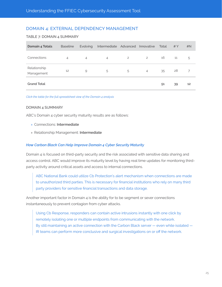## DOMAIN 4: EXTERNAL DEPENDENCY MANAGEMENT

#### TABLE 7: DOMAIN 4 SUMMARY

| Domain 4 Totals            | <b>Baseline</b> | Evolving       | Intermediate Advanced |                | Innovative     | Total | #Y | #N |
|----------------------------|-----------------|----------------|-----------------------|----------------|----------------|-------|----|----|
| Connections                | 4               | $\overline{4}$ | $\overline{4}$        | $\overline{2}$ | $\overline{c}$ | 16    | 11 | 5  |
| Relationship<br>Management | 12              | $\overline{9}$ | 5                     | 5              | $\overline{4}$ | 35    | 28 |    |
| <b>Grand Total</b>         |                 |                |                       |                |                | 51    | 39 | 12 |

*Click the table for the full spreadsheet view of the Domain 4 analysis*

#### DOMAIN 4 SUMMARY

ABC's Domain 4 cyber security maturity results are as follows:

- » Connections: **Intermediate**
- » Relationship Management: **Intermediate**

#### *How Carbon Black Can Help Improve Domain 4 Cyber Security Maturity*

Domain 4 is focused on third-party security and the risk associated with sensitive data sharing and access control. ABC would improve its maturity level by having real time updates for monitoring thirdparty activity around critical assets and access to internal connections.

ABC National Bank could utilize Cb Protection's alert mechanism when connections are made to unauthorized third parties. This is necessary for financial institutions who rely on many third party providers for sensitive financial transactions and data storage.

Another important factor in Domain 4 is the ability for to be segment or sever connections instantaneously to prevent contagion from cyber attacks.

Using Cb Response, responders can contain active intrusions instantly with one click by remotely isolating one or multiple endpoints from communicating with the network. By still maintaining an active connection with the Carbon Black server — even while isolated — IR teams can perform more conclusive and surgical investigations on or off the network.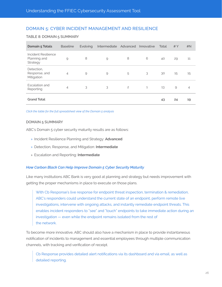### DOMAIN 5: CYBER INCIDENT MANAGEMENT AND RESILIENCE

#### TABLE 8: DOMAIN 5 SUMMARY

| <b>Domain 5 Totals</b>                          | <b>Baseline</b> | <b>Evolving</b> | Intermediate  | Advanced       | Innovative   | Total | #Y | #N             |
|-------------------------------------------------|-----------------|-----------------|---------------|----------------|--------------|-------|----|----------------|
| Incident Resilience<br>Planning and<br>Strategy | 9               | 8               | $\mathcal{Q}$ | 8              | 6            | 40    | 29 | 11             |
| Detection,<br>Response, and<br>Mitigation       | 4               | 9               | 9             | 5              | 3            | 30    | 15 | 15             |
| Escalation and<br>Reporting                     | 4               | 3               | 3             | $\overline{c}$ | $\mathbf{1}$ | 13    | 9  | $\overline{4}$ |
| <b>Grand Total</b>                              |                 |                 |               |                |              | 43    | 24 | 19             |

*Click the table for the full spreadsheet view of the Domain 5 analysis*

#### DOMAIN 5 SUMMARY

ABC's Domain 5 cyber security maturity results are as follows:

- » Incident Resilience Planning and Strategy: **Advanced**
- » Detection, Response, and Mitigation: **Intermediate**
- » Escalation and Reporting: **Intermediate**

#### *How Carbon Black Can Help Improve Domain 5 Cyber Security Maturity*

Like many institutions ABC Bank is very good at planning and strategy but needs improvement with getting the proper mechanisms in place to execute on those plans.

With Cb Response's live response for endpoint threat inspection, termination & remediation, ABC's responders could understand the current state of an endpoint, perform remote live investigations, intervene with ongoing attacks, and instantly remediate endpoint threats. This enables incident responders to "see" and "touch" endpoints to take immediate action during an investigation — even while the endpoint remains isolated from the rest of the network.

To become more innovative, ABC should also have a mechanism in place to provide instantaneous notification of incidents to management and essential employees through multiple communication channels, with tracking and verification of receipt.

Cb Response provides detailed alert notifications via its dashboard and via email, as well as detailed reporting.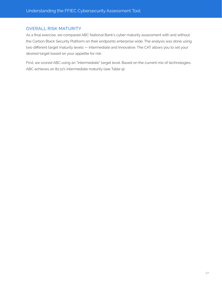## OVERALL RISK MATURITY

As a final exercise, we compared ABC National Bank's cyber maturity assessment with and without the Carbon Black Security Platform on their endpoints enterprise wide. The analysis was done using two different target maturity levels — Intermediate and Innovative. The CAT allows you to set your desired target based on your appetite for risk.

First, we scored ABC using an "Intermediate" target level. Based on the current mix of technologies, ABC achieves an 82.11% Intermediate maturity (see Table 9).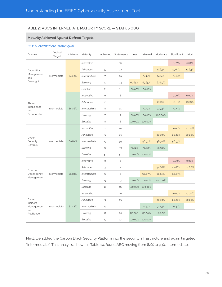#### TABLE 9: ABC'S INTERMEDIATE MATURITY SCORE — STATUS QUO

#### **Maturity Achieved Against Defined Targets**

#### *82.11% Intermediate (status quo)*

| Domain               | Desired<br>Target | % Achieved Maturity |                            | Achieved       | Statements     | Least   | Minimal | Moderate | Significant | Most   |
|----------------------|-------------------|---------------------|----------------------------|----------------|----------------|---------|---------|----------|-------------|--------|
|                      |                   |                     | Innovative                 | $\mathbf{1}$   | 15             |         |         |          | 6.67%       | 6.67%  |
| Cyber Risk           |                   |                     | Advanced                   | 5              | 32             |         |         | 15.63%   | 15.63%      | 15.63% |
| Management<br>and    | Intermediate      | 64.89%              | <i><b>Intermediate</b></i> | 7              | 29             |         | 24.14%  | 24.14%   | 24.14%      |        |
| Oversight            |                   |                     | Evolving                   | 23             | 34             | 67.65%  | 67.65%  | 67.65%   |             |        |
|                      |                   |                     | <b>Baseline</b>            | 31             | 31             | 100.00% | 100.00% |          |             |        |
|                      |                   |                     | Innovative                 | $\circ$        | 8              |         |         |          | 0.00%       | 0.00%  |
| Threat               |                   |                     | Advanced                   | $\overline{c}$ | 11             |         |         | 18.18%   | 18.18%      | 18.18% |
| Intelligence<br>and  | Intermediate      | 88.46%              | <i><b>Intermediate</b></i> | 8              | 11             |         | 72.73%  | 72.73%   | 72.73%      |        |
| Collaboration        |                   |                     | Evolving                   | $\overline{7}$ | $\overline{7}$ | 100.00% | 100.00% | 100.00%  |             |        |
|                      |                   |                     | <b>Baseline</b>            | 8              | 8              | 100.00% | 100.00% |          |             |        |
|                      |                   | 80.62%              | Innovative                 | $\overline{c}$ | 20             |         |         |          | 10.00%      | 10.00% |
| Cyber                |                   |                     | Advanced                   | 5              | 25             |         |         | 20.20%   | 20.20%      | 20.20% |
| Security<br>Controls | Intermediate      |                     | Intermediate               | 23             | 39             |         | 58.97%  | 58.97%   | 58.97%      |        |
|                      |                   |                     | Evolving                   | 30             | 39             | 76.92%  | 76.92%  | 76.92%   |             |        |
|                      |                   |                     | <b>Baseline</b>            | 51             | 51             | 100.00% | 100.00% |          |             |        |
|                      |                   |                     | Innovative                 | $\circ$        | 6              |         |         |          | 0.00%       | 0.00%  |
| External             |                   |                     | Advanced                   | 3              | $\overline{7}$ |         |         | 42.86%   | 42.86%      | 42.86% |
| Dependency           | Intermediate      | 86.84%              | <i>Intermediate</i>        | 6              | 9              |         | 66.67%  | 66.67%   | 66.67%      |        |
| Management           |                   |                     | Evolving                   | 13             | 13             | 100.00% | 100.00% | 100.00%  |             |        |
|                      |                   |                     | <b>Baseline</b>            | 16             | 16             | 100.00% | 100.00% |          |             |        |
|                      |                   |                     | Innovative                 | $\mathbf{1}$   | 10             |         |         |          | 10.00%      | 10.00% |
| Cyber<br>Incident    |                   |                     | Advanced                   | 3              | 15             |         |         | 20.20%   | 20.20%      | 20.20% |
| Management<br>and    | Intermediate      | 84.48%              | Intermediate               | 15             | 21             |         | 71.43%  | 71.43%   | 71.43%      |        |
| Resilience           |                   |                     | Evolving                   | 17             | 20             | 85.00%  | 85.00%  | 85.00%   |             |        |
|                      |                   |                     | <b>Baseline</b>            | 17             | 17             | 100.00% | 100.00% |          |             |        |

Next, we added the Carbon Black Security Platform into the security infrastructure and again targeted "Intermediate." That analysis, shown in Table 10, found ABC moving from 82% to 93% Intermediate.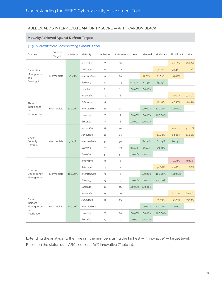#### TABLE 10: ABC'S INTERMEDIATE MATURITY SCORE — WITH CARBON BLACK

#### **Maturity Achieved Against Defined Targets**

#### *92.98% Intermediate (incorporating Carbon Black)*

| Domain                   | Desired<br>Target | % Achieved Maturity |                     | Achieved                                                  | Statements     | Least   | Minimal | Moderate | Significant | Most   |
|--------------------------|-------------------|---------------------|---------------------|-----------------------------------------------------------|----------------|---------|---------|----------|-------------|--------|
|                          |                   |                     | Innovative          | $\overline{7}$                                            | 15             |         |         |          | 46.67%      | 46.67% |
| Cyber Risk               |                   |                     | Advanced            | 11                                                        | 32             |         |         | 34.38%   | 34.38%      | 34.38% |
| Management<br>and        | Intermediate      | 73.40%              | <i>Intermediate</i> | 9                                                         | 29             |         | 31.03%  | 31.03%   | 31.03%      |        |
| Oversight                |                   |                     | Evolving            | 29                                                        | 34             | 85.29%  | 85.29%  | 85.29%   |             |        |
|                          |                   |                     | <b>Baseline</b>     | 31                                                        | 31             | 100.00% | 100.00% |          |             |        |
|                          |                   |                     | Innovative          | $\overline{4}$                                            | 8              |         |         |          | 50.00%      | 50.00% |
| Threat                   |                   |                     | Advanced            | 5                                                         | 11             |         |         | 45.45%   | 45.45%      | 45.45% |
| Intelligence<br>and      | Intermediate      | 100.00%             | <b>Intermediate</b> | 11                                                        | 11             |         | 100.00% | 100.00%  | 100.00%     |        |
| Collaboration            |                   |                     | Evolving            | $\overline{7}$                                            | $\overline{7}$ | 100.00% | 100.00% | 100.00%  |             |        |
|                          |                   |                     | <b>Baseline</b>     | 8                                                         | 8              | 100.00% | 100.00% |          |             |        |
|                          |                   | 91.47%              | Innovative          | 8                                                         | 20             |         |         |          | 40.00%      | 40.00% |
| Cyber                    |                   |                     | Advanced            | 16                                                        | 25             |         |         | 64.00%   | 64.00%      | 64.00% |
| Security<br>Controls     | Intermediate      |                     | <i>Intermediate</i> | 32                                                        | 39             |         | 82.05%  | 82.05%   | 82.05%      |        |
|                          |                   |                     | Evolving            | 35                                                        | 39             | 89.74%  | 89.74%  | 89.74%   |             |        |
|                          |                   |                     | <b>Baseline</b>     | 51                                                        | 51             | 100.00% | 100.00% |          |             |        |
|                          |                   |                     | Innovative          | $\circ$                                                   | 6              |         |         |          | 0.00%       | 0.00%  |
| External                 |                   |                     | Advanced            | 3                                                         | $\overline{7}$ |         |         | 42.86%   | 42.86%      | 42.86% |
| Dependency<br>Management | Intermediate      | 100.00%             | <i>Intermediate</i> | $\mathcal{G}% _{M_{1},M_{2}}^{\alpha,\beta}(\mathcal{G})$ | $\mathsf{Q}$   |         | 100.00% | 100.00%  | 100.00%     |        |
|                          |                   |                     | Evolving            | 13                                                        | 13             | 100.00% | 100.00% | 100.00%  |             |        |
|                          |                   |                     | <b>Baseline</b>     | 16                                                        | 16             | 100.00% | 100.00% |          |             |        |
|                          |                   |                     | Innovative          | 6                                                         | 10             |         |         |          | 60.00%      | 60.00% |
| Cyber<br>Incident        |                   |                     | Advanced            | 8                                                         | 15             |         |         | 53.33%   | 53.33%      | 53.33% |
| Management<br>and        | Intermediate      | 100.00%             | <i>Intermediate</i> | 21                                                        | 21             |         | 100.00% | 100.00%  | 100.00%     |        |
| Resilience               |                   |                     | Evolving            | 20                                                        | 20             | 100.00% | 100.00% | 100.00%  |             |        |
|                          |                   |                     | <b>Baseline</b>     | 17                                                        | 17             | 100.00% | 100.00% |          |             |        |

Extending the analysis further, we ran the numbers using the highest — "Innovative" — target level. Based on the status quo, ABC scores at 61% Innovative (Table 11).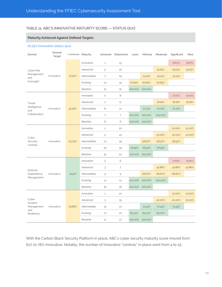#### TABLE 11: ABC'S INNOVATIVE MATURITY SCORE — STATUS QUO

#### **Maturity Achieved Against Defined Targets**

#### *61.05% Innovative (status quo)*

| Domain               | Desired<br>Target | % Achieved Maturity |                            | Achieved       | Statements                                                | Least   | Minimal | Moderate | Significant | Most   |
|----------------------|-------------------|---------------------|----------------------------|----------------|-----------------------------------------------------------|---------|---------|----------|-------------|--------|
|                      |                   |                     | Innovative                 | $\mathbf{1}$   | 15                                                        |         |         |          | 6.67%       | 6.67%  |
| Cyber Risk           |                   |                     | Advanced                   | 5              | 32                                                        |         |         | 15.63%   | 15.63%      | 15.63% |
| Management<br>and    | Innovative        | 47.52%              | <b>Intermediate</b>        | $\overline{7}$ | 29                                                        |         | 24.14%  | 24.14%   | 24.14%      |        |
| Oversight            |                   |                     | Evolving                   | 23             | 34                                                        | 67.65%  | 67.65%  | 67.65%   |             |        |
|                      |                   |                     | <b>Baseline</b>            | 31             | 31                                                        | 100.00% | 100.00% |          |             |        |
|                      |                   |                     | Innovative                 | $\circ$        | 8                                                         |         |         |          | 0.00%       | 0.00%  |
| Threat               |                   |                     | Advanced                   | $\overline{c}$ | 11                                                        |         |         | 18.18%   | 18.18%      | 18.18% |
| Intelligence<br>and  | Innovative        | 55.56%              | <b>Intermediate</b>        | 8              | 11                                                        |         | 72.73%  | 72.73%   | 72.73%      |        |
| Collaboration        |                   |                     | Evolving                   | 7              | $\overline{7}$                                            | 100.00% | 100.00% | 100.00%  |             |        |
|                      |                   |                     | <b>Baseline</b>            | 8              | 8                                                         | 100.00% | 100.00% |          |             |        |
|                      |                   | 63.79%              | Innovative                 | $\overline{c}$ | 20                                                        |         |         |          | 10.00%      | 10.00% |
| Cyber                |                   |                     | Advanced                   | 5              | 25                                                        |         |         | 20.00%   | 20.00%      | 20.00% |
| Security<br>Controls | Innovative        |                     | <i>Intermediate</i>        | 23             | 39                                                        |         | 58.97%  | 58.97%   | 58.97%      |        |
|                      |                   |                     | Evolving                   | 30             | 39                                                        | 76.92%  | 76.92%  | 76.92%   |             |        |
|                      |                   |                     | <b>Baseline</b>            | 51             | 51                                                        | 100.00% | 100.00% |          |             |        |
|                      |                   |                     | Innovative                 | $\circ$        | 6                                                         |         |         |          | 0.00%       | 0.00%  |
| External             |                   |                     | Advanced                   | 3              | $\overline{7}$                                            |         |         | 42.86%   | 42.86%      | 42.86% |
| Dependency           | Innovative        | 74.51%              | <i><b>Intermediate</b></i> | 9              | $\mathcal{G}% _{M_{1},M_{2}}^{\alpha,\beta}(\mathcal{G})$ |         | 66.67%  | 66.67%   | 66.67%      |        |
| Management           |                   |                     | Evolving                   | 13             | 13                                                        | 100.00% | 100.00% | 100.00%  |             |        |
|                      |                   |                     | <b>Baseline</b>            | 16             | 16                                                        | 100.00% | 100.00% |          |             |        |
|                      |                   |                     | Innovative                 | $\,1\,$        | 10                                                        |         |         |          | 10.00%      | 10.00% |
| Cyber<br>Incident    |                   |                     | Advanced                   | 3              | 15                                                        |         |         | 20.00%   | 20.00%      | 20.00% |
| Management<br>and    | Innovative        | 63.86%              | <b>Intermediate</b>        | 15             | 21                                                        |         | 71.43%  | 71.43%   | 71.43%      |        |
| Resilience           |                   |                     | Evolving                   | 17             | 20                                                        | 85.00%  | 85.00%  | 85.00%   |             |        |
|                      |                   |                     | <b>Baseline</b>            | 17             | 17                                                        | 100.00% | 100.00% |          |             |        |

With the Carbon Black Security Platform in place, ABC's cyber security maturity score moved from 61% to 78% Innovative. Notably, the number of Innovative "controls" in place went from 4 to 25.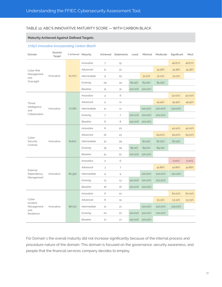#### TABLE 12: ABC'S INNOVATIVE MATURITY SCORE — WITH CARBON BLACK

#### **Maturity Achieved Against Defined Targets**

#### *77.65% Innovative (incorporating Carbon Black)*

| Domain                                               | Desired<br>Target | % Achieved Maturity |                     | Achieved                                                  | Statements     | Least   | Minimal | Moderate | Significant | Most   |
|------------------------------------------------------|-------------------|---------------------|---------------------|-----------------------------------------------------------|----------------|---------|---------|----------|-------------|--------|
| Cyber Risk<br>Management<br>and<br>Oversight         | Innovative        | 61.70%              | Innovative          | $\overline{7}$                                            | 15             |         |         |          | 46.67%      | 46.67% |
|                                                      |                   |                     | Advanced            | 11                                                        | 32             |         |         | 34.38%   | 34.38%      | 34.38% |
|                                                      |                   |                     | <i>Intermediate</i> | 9                                                         | 29             |         | 31.03%  | 31.03%   | 31.03%      |        |
|                                                      |                   |                     | Evolving            | 29                                                        | 34             | 85.29%  | 85.29%  | 85.29%   |             |        |
|                                                      |                   |                     | <b>Baseline</b>     | 31                                                        | 31             | 100.00% | 100.00% |          |             |        |
| Threat<br>Intelligence<br>and<br>Collaboration       | Innovative        | 77.78%              | Innovative          | $\overline{4}$                                            | 8              |         |         |          | 50.00%      | 50.00% |
|                                                      |                   |                     | Advanced            | 5                                                         | 11             |         |         | 45.45%   | 45.45%      | 45.45% |
|                                                      |                   |                     | <b>Intermediate</b> | 11                                                        | 11             |         | 100.00% | 100.00%  | 100.00%     |        |
|                                                      |                   |                     | Evolving            | $\overline{7}$                                            | $\overline{7}$ | 100.00% | 100.00% | 100.00%  |             |        |
|                                                      |                   |                     | <b>Baseline</b>     | 8                                                         | 8              | 100.00% | 100.00% |          |             |        |
| Cyber<br>Security<br>Controls                        | Innovative        | 81.61%              | Innovative          | 8                                                         | 20             |         |         |          | 40.00%      | 40.00% |
|                                                      |                   |                     | Advanced            | 16                                                        | 25             |         |         | 64.00%   | 64.00%      | 64.00% |
|                                                      |                   |                     | <b>Intermediate</b> | 32                                                        | 39             |         | 82.05%  | 82.05%   | 82.05%      |        |
|                                                      |                   |                     | Evolving            | 35                                                        | 39             | 89.74%  | 89.74%  | 89.74%   |             |        |
|                                                      |                   |                     | <b>Baseline</b>     | 51                                                        | 51             | 100.00% | 100.00% |          |             |        |
| External<br>Dependency<br>Management                 | Innovative        | 80.39%              | Innovative          | $\circ$                                                   | 6              |         |         |          | 0.00%       | 0.00%  |
|                                                      |                   |                     | Advanced            | 3                                                         | $\overline{7}$ |         |         | 42.86%   | 42.86%      | 42.86% |
|                                                      |                   |                     | <i>Intermediate</i> | $\mathcal{G}% _{M_{1},M_{2}}^{\alpha,\beta}(\mathcal{G})$ | $\mathsf{Q}$   |         | 100.00% | 100.00%  | 100.00%     |        |
|                                                      |                   |                     | Evolving            | 13                                                        | 13             | 100.00% | 100.00% | 100.00%  |             |        |
|                                                      |                   |                     | <b>Baseline</b>     | 16                                                        | 16             | 100.00% | 100.00% |          |             |        |
| Cyber<br>Incident<br>Management<br>and<br>Resilience | Innovative        | 86.75%              | Innovative          | 6                                                         | 10             |         |         |          | 60.00%      | 60.00% |
|                                                      |                   |                     | Advanced            | 8                                                         | 15             |         |         | 53.33%   | 53.33%      | 53.33% |
|                                                      |                   |                     | <i>Intermediate</i> | 21                                                        | 21             |         | 100.00% | 100.00%  | 100.00%     |        |
|                                                      |                   |                     | Evolving            | 20                                                        | 20             | 100.00% | 100.00% | 100.00%  |             |        |
|                                                      |                   |                     | <b>Baseline</b>     | 17                                                        | 17             | 100.00% | 100.00% |          |             |        |

For Domain 1 the overall maturity did not increase significantly because of the internal process and procedure nature of the domain. This domain is focused on the governance, security awareness, and people that the financial services company decides to employ.